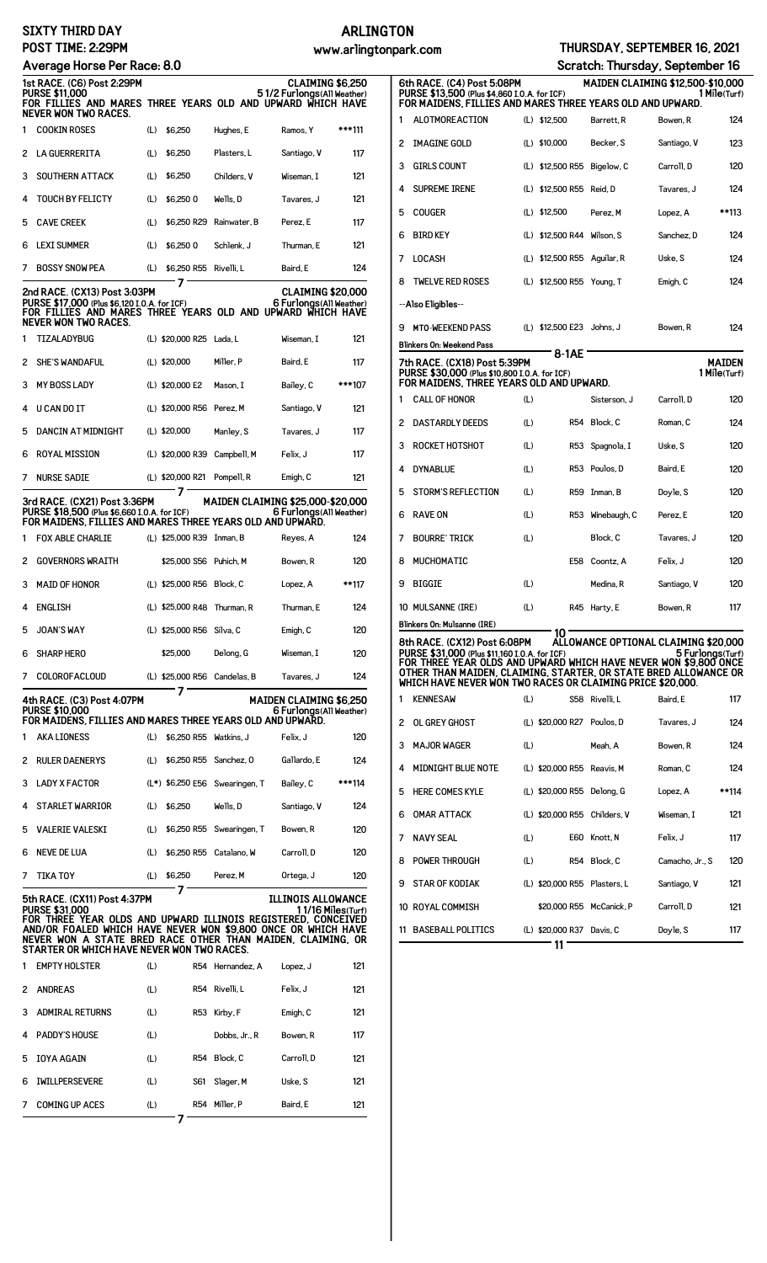## **SIXTY THIRD DAY POST TIME: 2:29PM**

# **ARLINGTON**

|   |                                                                                                                                                                                                                                                                                                      |     |                              |                                |                                                               | www.armry.com |
|---|------------------------------------------------------------------------------------------------------------------------------------------------------------------------------------------------------------------------------------------------------------------------------------------------------|-----|------------------------------|--------------------------------|---------------------------------------------------------------|---------------|
|   | Average Horse Per Race: 8.0<br><b>1st RACE. (C6) Post 2:29PM</b><br><b>PURSE \$11.000</b>                                                                                                                                                                                                            |     |                              |                                | <b>CLAIMING \$6,250</b><br>51/2 Furlongs(All Weather)         |               |
|   | FOR FILLIES AND MARES THREE YEARS OLD AND UPWARD WHICH HAVE<br>NEVER WON TWO RACES.                                                                                                                                                                                                                  |     |                              |                                |                                                               |               |
| 1 | <b>COOKIN ROSES</b>                                                                                                                                                                                                                                                                                  | (L) | \$6,250                      | Hughes, E                      | Ramos, Y                                                      | ***111        |
| 2 | <b>LA GUERRERITA</b>                                                                                                                                                                                                                                                                                 | (L) | \$6,250                      | Plasters, L                    | Santiago, V                                                   | 117           |
| 3 | <b>SOUTHERN ATTACK</b>                                                                                                                                                                                                                                                                               | (L) | \$6,250                      | Childers, V                    | Wiseman. I                                                    | 121           |
| 4 | <b>TOUCH BY FELICTY</b>                                                                                                                                                                                                                                                                              | (L) | \$6,250 0                    | Wells, D                       | Tavares, J                                                    | 121           |
| 5 | <b>CAVE CREEK</b>                                                                                                                                                                                                                                                                                    | (L) |                              | \$6,250 R29 Rainwater, B       | Perez, E                                                      | 117           |
| 6 | <b>LEXI SUMMER</b>                                                                                                                                                                                                                                                                                   | (L) | \$6,250 0                    | Schlenk, J                     | Thurman, E                                                    | 121           |
| 7 | <b>BOSSY SNOW PEA</b>                                                                                                                                                                                                                                                                                | (L) | \$6,250 R55 Rivelli, L       |                                | Baird, E                                                      | 124           |
|   | 2nd RACE. (CX13) Post 3:03PM<br>PURSE \$17,000 (Plus \$6,120 I.O.A. for ICF)<br>FOR FILLIES AND MARES THREE YEARS OLD AND UPWARD WHICH HAVE<br>NEVER WON TWO RACES.                                                                                                                                  |     | 7                            |                                | <b>CLAIMING \$20,000</b><br>6 Furlongs (All Weather)          |               |
| 1 | TIZALADYBUG                                                                                                                                                                                                                                                                                          |     | (L) \$20,000 R25 Lada, L     |                                | Wiseman, I                                                    | 121           |
| 2 | <b>SHE'S WANDAFUL</b>                                                                                                                                                                                                                                                                                |     | $(L)$ \$20,000               | Miller, P                      | Baird, E                                                      | 117           |
| 3 | <b>MY BOSS LADY</b>                                                                                                                                                                                                                                                                                  |     | (L) \$20,000 E2              | Mason. I                       | Bailey, C                                                     | ***107        |
| 4 | U CAN DO IT                                                                                                                                                                                                                                                                                          |     | (L) \$20,000 R56 Perez, M    |                                | Santiago, V                                                   | 121           |
| 5 | DANCIN AT MIDNIGHT                                                                                                                                                                                                                                                                                   |     | $(L)$ \$20,000               | Manley, S                      | Tavares, J                                                    | 117           |
| 6 | ROYAL MISSION                                                                                                                                                                                                                                                                                        |     | (L) \$20,000 R39 Campbell, M |                                | Felix, J                                                      | 117           |
| 7 | <b>NURSE SADIE</b>                                                                                                                                                                                                                                                                                   |     | (L) \$20,000 R21 Pompell, R  |                                | Emigh, C                                                      | 121           |
|   | 3rd RACE. (CX21) Post 3:36PM<br>PURSE \$18,500 (Plus \$6,660 I.O.A. for ICF)<br>FOR MAIDENS, FILLIES AND MARES THREE YEARS OLD AND UPWARD.                                                                                                                                                           |     |                              |                                | MAIDEN CLAIMING \$25,000-\$20,000<br>6 Furlongs (All Weather) |               |
| 1 | <b>FOX ABLE CHARLIE</b>                                                                                                                                                                                                                                                                              |     | (L) \$25,000 R39 Inman, B    |                                | Reyes, A                                                      | 124           |
| 2 | <b>GOVERNORS WRAITH</b>                                                                                                                                                                                                                                                                              |     | \$25,000 S56 Puhich, M       |                                | Bowen, R                                                      | 120           |
| 3 | <b>MAID OF HONOR</b>                                                                                                                                                                                                                                                                                 |     | (L) \$25,000 R56 Block, C    |                                | Lopez, A                                                      | **117         |
| 4 | <b>ENGLISH</b>                                                                                                                                                                                                                                                                                       |     | (L) \$25,000 R48 Thurman, R  |                                | Thurman, E                                                    | 124           |
| 5 | <b>JOAN'S WAY</b>                                                                                                                                                                                                                                                                                    |     | (L) \$25,000 R56 Silva, C    |                                | Emigh, C                                                      | 120           |
| 6 | <b>SHARP HERO</b>                                                                                                                                                                                                                                                                                    |     | \$25,000                     | Delong, G                      | Wiseman, I                                                    | 120           |
| 7 | <b>COLOROFACLOUD</b>                                                                                                                                                                                                                                                                                 |     | (L) \$25,000 R56 Candelas. B |                                | Tavares, J                                                    | 124           |
|   | 4th RACE. (C3) Post 4:07PM<br><b>PURSE \$10.000</b><br>FOR MAIDENS, FILLIES AND MARES THREE YEARS OLD AND UPWARD.                                                                                                                                                                                    |     | 7                            |                                | <b>MAIDEN CLAIMING \$6,250</b><br>6 Furlongs (All Weather)    |               |
| 1 | <b>AKA LIONESS</b>                                                                                                                                                                                                                                                                                   | (L) | \$6,250 R55 Watkins, J       |                                | Felix, J                                                      | 120           |
| 2 | <b>RULER DAENERYS</b>                                                                                                                                                                                                                                                                                | (L) | \$6,250 R55 Sanchez, 0       |                                | Gallardo, E                                                   | 124           |
| 3 | <b>LADY X FACTOR</b>                                                                                                                                                                                                                                                                                 |     |                              | (L*) \$6,250 E56 Swearingen, T | Bailey, C                                                     | ***114        |
| 4 | STARLET WARRIOR                                                                                                                                                                                                                                                                                      | (L) | \$6,250                      | Wells, D                       | Santiago, V                                                   | 124           |
| 5 | <b>VALERIE VALESKI</b>                                                                                                                                                                                                                                                                               | (L) |                              | \$6,250 R55 Swearingen, T      | Bowen, R                                                      | 120           |
| 6 | NEVE DE LUA                                                                                                                                                                                                                                                                                          | (L) | \$6,250 R55 Catalano, W      |                                | Carroll, D                                                    | 120           |
| 7 | <b>TIKA TOY</b>                                                                                                                                                                                                                                                                                      | (L) | \$6,250                      | Perez. M                       | Ortega, J                                                     | 120           |
|   | 5th RACE. (CX11) Post 4:37PM<br><b>PURSE \$31.000</b><br>for three year olds and upward illinois registered, conceived<br>AND/OR FOALED WHICH HAVE NEVER WON \$9,800 ONCE OR WHICH HAVE<br>NEVER WON A STATE BRED RACE OTHER THAN MAIDEN, CLAIMING, OR<br>STARTER OR WHICH HAVE NEVER WON TWO RACES. |     | 7                            |                                | ILLINOIS ALLOWANCE<br>1 1/16 Miles(Turf)                      |               |
| 1 | <b>EMPTY HOLSTER</b>                                                                                                                                                                                                                                                                                 | (L) |                              | R54 Hernandez, A               | Lopez, J                                                      | 121           |
| 2 | <b>ANDREAS</b>                                                                                                                                                                                                                                                                                       | (L) |                              | R54 Rivelli, L                 | Felix, J                                                      | 121           |

3 ADMIRAL RETURNS (L) R53 Kirby, F Emigh, C 121 4 PADDY'S HOUSE (L) Dobbs, Jr., R Bowen, R 117 5 IOYA AGAIN (L) R54 Block, C Carroll, D 121 6 IWILLPERSEVERE (L) S61 Slager, M Uske, S 121 7 COMING UP ACES (L) R54 Miller, P Baird, E 121 **7**

|  | HURSDAY, SEPTEMBER 16, 2021 |  |
|--|-----------------------------|--|
|--|-----------------------------|--|

| www.arlingtonpark.com                         |   |                                                                                                                                                                                                    |     |                              |               | THURSDAY, SEPTEMBER 16, 2021                             |                               |
|-----------------------------------------------|---|----------------------------------------------------------------------------------------------------------------------------------------------------------------------------------------------------|-----|------------------------------|---------------|----------------------------------------------------------|-------------------------------|
|                                               |   |                                                                                                                                                                                                    |     |                              |               | Scratch: Thursday, September 16                          |                               |
| MING \$6,250                                  |   | 6th RACE. (C4) Post 5:08PM                                                                                                                                                                         |     |                              |               | MAIDEN CLAIMING \$12,500-\$10,000                        |                               |
| <b>as(All Weather)</b><br>NHICH HAVE          |   | PURSE \$13,500 (Plus \$4,860 I.O.A. for ICF)<br>FOR MAIDENS, FILLIES AND MARES THREE YEARS OLD AND UPWARD.                                                                                         |     |                              |               |                                                          | 1 Mile(Turf)                  |
| Y<br>***111                                   | 1 | ALOTMOREACTION                                                                                                                                                                                     |     | (L) \$12,500                 | Barrett, R    | Bowen, R                                                 | 124                           |
| 117<br>), V                                   | 2 | <b>IMAGINE GOLD</b>                                                                                                                                                                                |     | $(L)$ \$10,000               | Becker, S     | Santiago, V                                              | 123                           |
| 121<br>ı, I                                   | 3 | <b>GIRLS COUNT</b>                                                                                                                                                                                 |     | (L) \$12,500 R55 Bigelow, C  |               | Carroll. D                                               | 120                           |
| 121<br>i, J                                   | 4 | <b>SUPREME IRENE</b>                                                                                                                                                                               |     | (L) \$12,500 R55 Reid. D     |               | Tavares, J                                               | 124                           |
| 117                                           | 5 | <b>COUGER</b>                                                                                                                                                                                      |     | (L) \$12,500                 | Perez, M      | Lopez, A                                                 | **113                         |
| ۱, E<br>121                                   | 6 | <b>BIRD KEY</b>                                                                                                                                                                                    |     | (L) \$12,500 R44 Wilson, S   |               | Sanchez, D                                               | 124                           |
| 124                                           | 7 | LOCASH                                                                                                                                                                                             |     | (L) \$12,500 R55 Aguilar, R  |               | Uske, S                                                  | 124                           |
| ING \$20,000                                  | 8 | <b>TWELVE RED ROSES</b>                                                                                                                                                                            |     | (L) \$12,500 R55 Young, T    |               | Emigh, C                                                 | 124                           |
| gs(All Weather)<br>NHICH HAVE                 |   | --Also Eligibles--                                                                                                                                                                                 |     |                              |               |                                                          |                               |
| 121<br>ı, I                                   | 9 | <b>MTO-WEEKEND PASS</b>                                                                                                                                                                            |     | (L) \$12,500 E23 Johns, J    |               | Bowen, R                                                 | 124                           |
|                                               |   | Blinkers On: Weekend Pass                                                                                                                                                                          |     | 8-1AE                        |               |                                                          |                               |
| 117<br>***107                                 |   | 7th RACE. (CX18) Post 5:39PM<br>PURSE \$30,000 (Plus \$10,800 I.O.A. for ICF)<br>FOR MAIDENS, THREE YEARS OLD AND UPWARD.                                                                          |     |                              |               |                                                          | <b>MAIDEN</b><br>1 Mile(Turf) |
| 121<br>), V                                   | 1 | <b>CALL OF HONOR</b>                                                                                                                                                                               | (L) |                              | Sisterson, J  | Carroll, D                                               | 120                           |
| 117<br>;, J                                   | 2 | <b>DASTARDLY DEEDS</b>                                                                                                                                                                             | (L) |                              | R54 Block, C  | Roman, C                                                 | 124                           |
| 117                                           | 3 | ROCKET HOTSHOT                                                                                                                                                                                     | (L) | R53                          | Spagnola, I   | Uske, S                                                  | 120                           |
| 121                                           | 4 | <b>DYNABLUE</b>                                                                                                                                                                                    | (L) |                              | R53 Poulos, D | Baird, E                                                 | 120                           |
|                                               | 5 | <b>STORM'S REFLECTION</b>                                                                                                                                                                          | (L) |                              | R59 Inman, B  | Doyle, S                                                 | 120                           |
| 000-\$20,000<br>gs(All Weather)<br>RD.        | 6 | <b>RAVE ON</b>                                                                                                                                                                                     | (L) | R53                          | Winebaugh, C  | Perez, E                                                 | 120                           |
| А.<br>124                                     | 7 | <b>BOURRE' TRICK</b>                                                                                                                                                                               | (L) |                              | Block, C      | Tavares, J                                               | 120                           |
| R<br>120                                      | 8 | MUCHOMATIC                                                                                                                                                                                         |     |                              | E58 Coontz, A | Felix. J                                                 | 120                           |
| **117                                         | 9 | <b>BIGGIE</b>                                                                                                                                                                                      | (L) |                              | Medina, R     | Santiago, V                                              | 120                           |
| ۱, E<br>124                                   |   | 10 MULSANNE (IRE)                                                                                                                                                                                  | (L) |                              | R45 Harty, E  | Bowen, R                                                 | 117                           |
| 120                                           |   | Blinkers On: Mulsanne (IRE)                                                                                                                                                                        |     | 10.                          |               |                                                          |                               |
| 120<br>ı, I                                   |   | <b>8th RACE. (CX12) Post 6:08PM</b><br>PURSE \$31,000 (Plus \$11,160 I.O.A. for ICF)                                                                                                               |     |                              |               | ALLOWANCE OPTIONAL CLAIMING \$20,000<br>5 Furlongs(Turf) |                               |
| 124<br><b>. J</b>                             |   | FOR THREE YEAR OLDS AND UPWARD WHICH HAVE NEVER WON \$9.800 ONCE<br>OTHER THAN MAIDEN. CLAIMING. STARTER. OR STATE BRED ALLOWANCE OR<br>WHICH HAVE NEVER WON TWO RACES OR CLAIMING PRICE \$20,000. |     |                              |               |                                                          |                               |
| MING \$6,250                                  | 1 | <b>KENNESAW</b>                                                                                                                                                                                    | (L) |                              | S58 Rivelli.L | Baird, E                                                 | 117                           |
| gs(All Weather)<br>.RD.                       | 2 | OL GREY GHOST                                                                                                                                                                                      |     | (L) \$20,000 R27 Poulos, D   |               | Tavares, J                                               | 124                           |
| 120                                           | 3 | <b>MAJOR WAGER</b>                                                                                                                                                                                 | (L) |                              | Meah, A       | Bowen, R                                                 | 124                           |
| 124<br>), E                                   | 4 | MIDNIGHT BLUE NOTE                                                                                                                                                                                 |     | (L) \$20,000 R55 Reavis, M   |               | Roman, C                                                 | 124                           |
| ***114                                        | 5 | <b>HERE COMES KYLE</b>                                                                                                                                                                             |     | (L) \$20,000 R55 Delong, G   |               | Lopez, A                                                 | **114                         |
| 124<br>), V                                   | 6 | <b>OMAR ATTACK</b>                                                                                                                                                                                 |     | (L) \$20,000 R55 Childers, V |               | Wiseman, I                                               | 121                           |
| 120<br>R                                      | 7 | <b>NAVY SEAL</b>                                                                                                                                                                                   | (L) |                              | E60 Knott, N  | Felix, J                                                 | 117                           |
| D<br>120                                      | 8 | POWER THROUGH                                                                                                                                                                                      | (L) |                              | R54 Block, C  | Camacho, Jr., S                                          | 120                           |
| J<br>120                                      | 9 | <b>STAR OF KODIAK</b>                                                                                                                                                                              |     | (L) \$20,000 R55 Plasters, L |               | Santiago, V                                              | 121                           |
| ALLOWANCE<br>'16 Miles(Turf)                  |   | 10 ROYAL COMMISH                                                                                                                                                                                   |     | \$20,000 R55 McCanick, P     |               | Carroll, D                                               | 121                           |
| <b>CONCEIVED</b><br>WHICH HAVE<br>.AIMING, OR |   | 11 BASEBALL POLITICS                                                                                                                                                                               |     | (L) \$20,000 R37 Davis, C    |               | Doyle, S                                                 | 117                           |
|                                               |   |                                                                                                                                                                                                    |     | 11                           |               |                                                          |                               |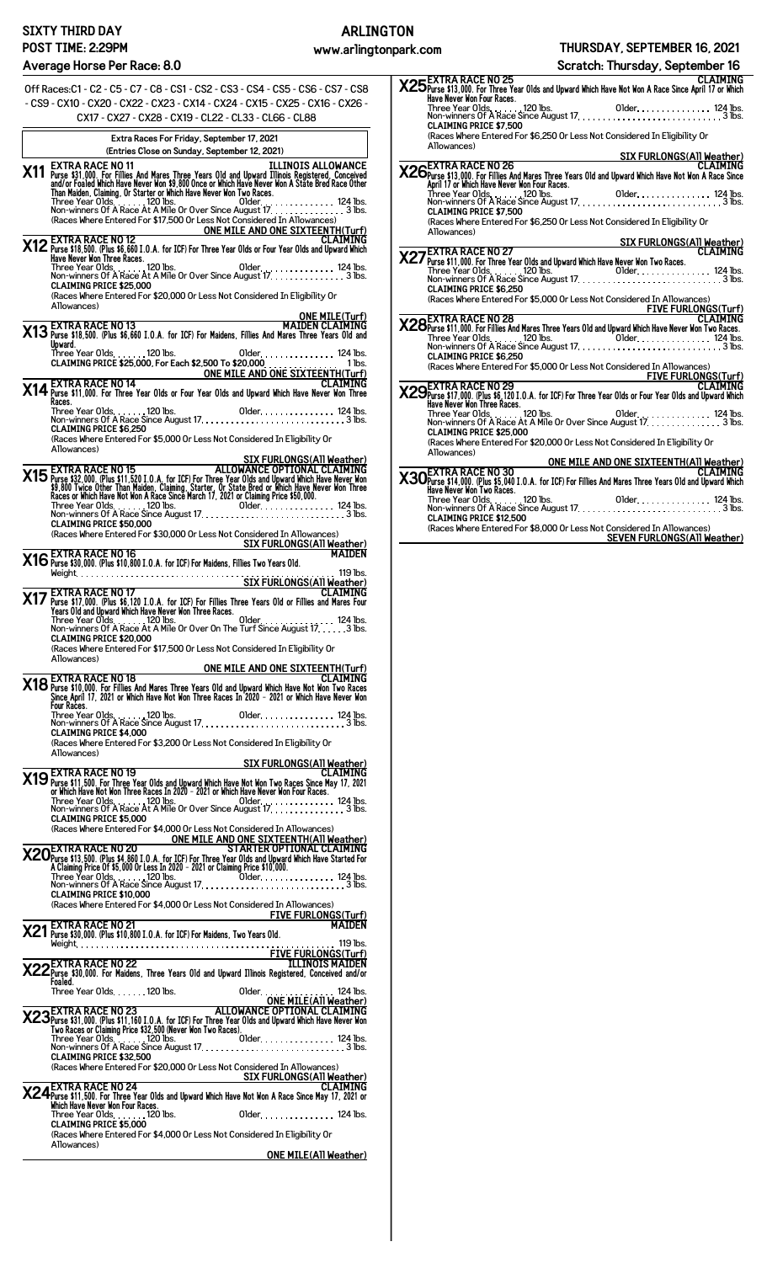## **Average Horse Per Race: 8.0**

Off Races:C1 - C2 - C5 - C7 - C8 - CS1 - CS2 - CS3 - CS4 - CS5 - CS6 - CS7 - CS8 - CS9 - CX10 - CX20 - CX22 - CX23 - CX14 - CX24 - CX15 - CX25 - CX16 - CX26 - CX17 - CX27 - CX28 - CX19 - CL22 - CL33 - CL66 - CL88 **Extra Races For Friday, September 17, 2021 (Entries Close on Sunday, September 12, 2021) X11** EXTRA RACE NO 11<br>and/or Fillies And Mares Three Years Old and Upward Illinois Registered, Conceived<br>and/or Foaled Which Have Never Won \$9,800 Once or Which Have Never Won A State Bred Race Other<br>Than Maiden, Claiming (Races Where Entered For \$17,500 Or Less Not Considered In Allowances) **ONE MILE AND ONE SIXTEENTH(Turf) X12 EXTRA RACE NO 12 CLAIMING +/

 0 111
 2 #3 '\$ (% )% ' \$** Three Year Olds 120 lbs. Older 124 lbs. Non-winners Of A Race At A Mile Or Over Since August 17 3 lbs. **CLAIMING PRICE \$25,000** (Races Where Entered For \$20,000 Or Less Not Considered In Eligibility Or Allowances) **ONE MILE(Turf) X13 EXTRA RACE NO 13 MAIDEN CLAIMING +/

 0 111
 2 #3**  Three Year Olds 120 lbs. Older 124 lbs. **CLAIMING PRICE \$25,000, For Each \$2,500 To \$20,000** . . . . . . . . . . . . . . . 1 lbs. **ONE MILE AND ONE SIXTEENTH(Turf) X14 EXTRA RACE NO 14 CLAIMING 

 '\$ (% )% ' \$** Three Year Olds 120 lbs. Older 124 lbs. Non-winners Of A Race Since August 17 3 lbs. **CLAIMING PRICE \$6,250** (Races Where Entered For \$5,000 Or Less Not Considered In Eligibility Or Allowances) SIX FURLONGS(ATI Weather)<br>
15 EXTRA RACE NO 15 ALLOWANCE OPTIONAL CLAIMING<br>
15 Purse \$32,000 (Plus \$11,520 I.O.A, for ICF) For Three Year Olds and Upward Which Have Never Won<br>
15 ,800 Twice Other Than Maiden, Claiming, Sta **CLAIMING PRICE \$50,000** (Races Where Entered For \$30,000 Or Less Not Considered In Allowances) **SIX FURLONGS(All Weather) X16EXTRA RACE NO 16 MAIDEN 

 0 
+

 2 #3**  Weight 119 lbs. **SIX FURLONGS(All Weather) X17 EXTRA RACE NO 17 CLAIMING 5

 0 14
 2 #3 '\$ (% )% ' \$** Three Year Olds 120 lbs. Older 124 lbs. Non-winners Of A Race At A Mile Or Over On The Turf Since August 17 3 lbs. **CLAIMING PRICE \$20,000** (Races Where Entered For \$17,500 Or Less Not Considered In Eligibility Or Allowances) **ONE MILE AND ONE SIXTEENTH(Turf)** CLAIMING<br>Mares the Mares Three Years Old and Upward Which Have Not Won Two Races<br>Since April 17, 2021 or Which Have Not Won Three Races In 2020 - 2021 or Which Have Never Won  **\$** Three Year Olds 120 lbs. Older 124 lbs. Non-winners Of A Race Since August 17 3 lbs. **CLAIMING PRICE \$4,000** (Races Where Entered For \$3,200 Or Less Not Considered In Eligibility Or Allowances) **SIX FURLONGS(All Weather)** CLAIMING<br>Of Purse \$11,500. For Three Year Olds and Upward Which Have Not Won Two Races Since May 17, 2021<br>Or Which Have New Two Races In 2021 or Which Have Never Won Four Races.<br>Three Year Olds. . . . . . . . . . . . . . . **CLAIMING PRICE \$5,000** Races Where Entered For \$4,000 Or Less Not Considered In Allowances)<br>
ONE MILE AND ONE SIXTEEN THIGH MI<br>
STARTER OPTIONAL CLAIMING<br>
THE YEAR RACE NO 20<br>
STARTER OPTIONAL CLAIMING<br>
A Claiming Price of \$5,000 Or Less In 2020 **CLAIMING PRICE \$10,000** (Races Where Entered For \$4,000 Or Less Not Considered In Allowances) **FIVE FURLONGS(Turf) X21 EXTRA RACE NO 21 MAIDEN 

 0 
+

 2 #3**  Weight 119 lbs. **FIVE FURLONGS(Turf) X22EXTRA RACE NO 22 ILLINOIS MAIDEN 

  !" #\$% &** Three Year Olds 120 lbs. Older 124 lbs. ONE MILE(ATI Weather)<br> **X23** Purse \$31,000. (Plus \$11,160 I.O.A. for ICF) For Three Year Olds and Upward Which RLAIMING<br>
Two Races or Claiming Price \$32,500 (Never Won Two Races).<br>
Three Year Olds. . . . . . . . . . . . . **CLAIMING PRICE \$32,500** (Races Where Entered For \$20,000 Or Less Not Considered In Allowances) Non-winners of Alaxy Since CLAIMING PRICE \$32,500<br>CLAIMING PRICE \$32,500<br>(Races Where Entered For \$20,000 Or Less Not Considered In Allowances)<br>CLAIMING **X24EXTRA RACE NO 24 CLAIMING /

 '\$ (% )" ' \$ ,\$ 7 5 4
4 '\$ (% )% ' \$** Three Year Olds 120 lbs. Older 124 lbs. **CLAIMING PRICE \$5,000** (Races Where Entered For \$4,000 Or Less Not Considered In Eligibility Or Allowances) **ONE MILE(All Weather)** **X25EXTRA RACE NO 25 CLAIMING 

 '\$ (% )" ' \$ ,\$ 5 '\$ (% )% ' \$** Three Year Olds 120 lbs. Older 124 lbs. Non-winners Of A Race Since August 17 3 lbs. **CLAIMING PRICE \$7,500** (Races Where Entered For \$6,250 Or Less Not Considered In Eligibility Or Allowances) **SIX FURLONGS(All Weather) X26**<br>**X26**Purse \$13,000. For Fillies And Mares Three Years Old and Upward Which Have Not Won A Race Since<br>April 17 or Which Have Wever Won Four Races.<br>Three Year Olds. . . . . . . . 120 lbs. . . . . . . . . . . . . . . . **CLAIMING PRICE \$7,500** (Races Where Entered For \$6,250 Or Less Not Considered In Eligibility Or Allowances) **SIX FURLONGS(All Weather) X27EXTRA RACE NO 27 CLAIMING 

 '\$ (% )% ' \$** Three Year Olds 120 lbs. Older 124 lbs. Non-winners Of A Race Since August 17 3 lbs. **CLAIMING PRICE \$6,250** (Races Where Entered For \$5,000 Or Less Not Considered In Allowances) **FIVE FURLONGS(Turf) X28EXTRA RACE NO 28 CLAIMING 

 '\$ (% )% ' \$** Three Year Olds 120 lbs. Older 124 lbs. Non-winners Of A Race Since August 17 3 lbs. **CLAIMING PRICE \$6,250** (Races Where Entered For \$5,000 Or Less Not Considered In Allowances) ess Not Considered **III Allowatives**<br>F<u>IVE FURLONGS(Turf)</u><br>CLAIMING **X29EXTRA RACE NO 29 CLAIMING 5

 0 14
 2 #3 '\$ (% )% ' \$** Three Year Olds 120 lbs. Older 124 lbs. Non-winners Of A Race At A Mile Or Over Since August 17 3 lbs. **CLAIMING PRICE \$25,000** (Races Where Entered For \$20,000 Or Less Not Considered In Eligibility Or Allowances) ONE MILE AND ONE SIXTEENTH(ATI Weather)<br> **X30** Purse \$14,000. (Plus \$5,040 I.O.A. for ICF) For Fillies And Mares Three Years 01d and Upward Which<br>
Have Never Won Two Races.<br>
Three Year Olds................................. **CLAIMING PRICE \$12,500** (Races Where Entered For \$8,000 Or Less Not Considered In Allowances) **SEVEN FURLONGS(All Weather) Scratch: Thursday, September 16**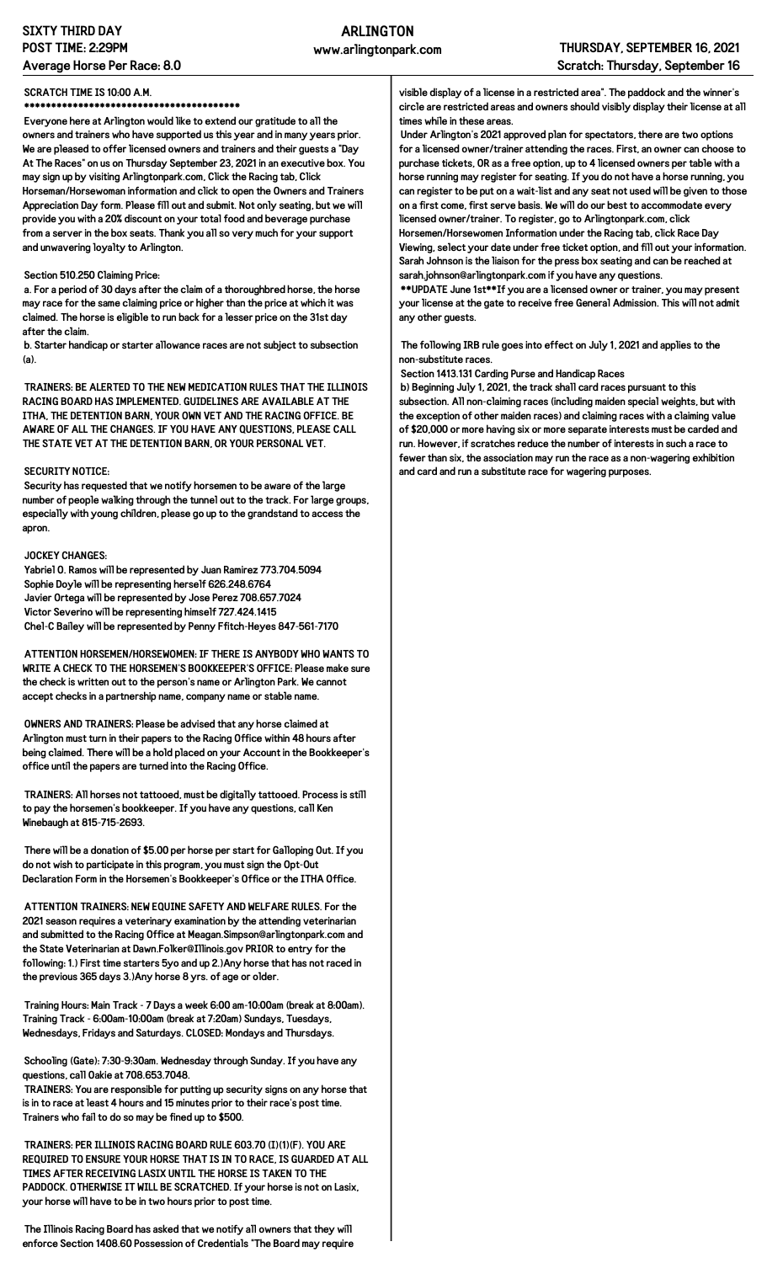## **SIXTY THIRD DAY POST TIME: 2:29PM Average Horse Per Race: 8.0**

#### **SCRATCH TIME IS 10:00 A.M.**

**\*\*\*\*\*\*\*\*\*\*\*\*\*\*\*\*\*\*\*\*\*\*\*\*\*\*\*\*\*\*\*\*\*\*\*\*\*\*\*\***

**Everyone here at Arlington would like to extend our gratitude to all the owners and trainers who have supported us this year and in many years prior. We are pleased to offer licensed owners and trainers and their guests a "Day At The Races" on us on Thursday September 23, 2021 in an executive box. You may sign up by visiting Arlingtonpark.com, Click the Racing tab, Click Horseman/Horsewoman information and click to open the Owners and Trainers Appreciation Day form. Please fill out and submit. Not only seating, but we will provide you with a 20% discount on your total food and beverage purchase from a server in the box seats. Thank you all so very much for your support and unwavering loyalty to Arlington.**

#### **Section 510.250 Claiming Price:**

**a. For a period of 30 days after the claim of a thoroughbred horse, the horse may race for the same claiming price or higher than the price at which it was claimed. The horse is eligible to run back for a lesser price on the 31st day after the claim.**

**b. Starter handicap or starter allowance races are not subject to subsection (a).**

**TRAINERS: BE ALERTED TO THE NEW MEDICATION RULES THAT THE ILLINOIS RACING BOARD HAS IMPLEMENTED. GUIDELINES ARE AVAILABLE AT THE ITHA, THE DETENTION BARN, YOUR OWN VET AND THE RACING OFFICE. BE AWARE OF ALL THE CHANGES. IF YOU HAVE ANY QUESTIONS, PLEASE CALL THE STATE VET AT THE DETENTION BARN, OR YOUR PERSONAL VET.**

#### **SECURITY NOTICE:**

**Security has requested that we notify horsemen to be aware of the large number of people walking through the tunnel out to the track. For large groups, especially with young children, please go up to the grandstand to access the apron.**

#### **JOCKEY CHANGES:**

**Yabriel O. Ramos will be represented by Juan Ramirez 773.704.5094 Sophie Doyle will be representing herself 626.248.6764 Javier Ortega will be represented by Jose Perez 708.657.7024 Victor Severino will be representing himself 727.424.1415 Chel-C Bailey will be represented by Penny Ffitch-Heyes 847-561-7170**

**ATTENTION HORSEMEN/HORSEWOMEN: IF THERE IS ANYBODY WHO WANTS TO WRITE A CHECK TO THE HORSEMEN'S BOOKKEEPER'S OFFICE: Please make sure the check is written out to the person's name or Arlington Park. We cannot accept checks in a partnership name, company name or stable name.**

**OWNERS AND TRAINERS: Please be advised that any horse claimed at Arlington must turn in their papers to the Racing Office within 48 hours after being claimed. There will be a hold placed on your Account in the Bookkeeper's office until the papers are turned into the Racing Office.**

**TRAINERS: All horses not tattooed, must be digitally tattooed. Process is still to pay the horsemen's bookkeeper. If you have any questions, call Ken Winebaugh at 815-715-2693.**

**There will be a donation of \$5.00 per horse per start for Galloping Out. If you do not wish to participate in this program, you must sign the Opt-Out Declaration Form in the Horsemen's Bookkeeper's Office or the ITHA Office.**

**ATTENTION TRAINERS: NEW EQUINE SAFETY AND WELFARE RULES. For the 2021 season requires a veterinary examination by the attending veterinarian and submitted to the Racing Office at Meagan.Simpson@arlingtonpark.com and the State Veterinarian at Dawn.Folker@Illinois.gov PRIOR to entry for the following: 1.) First time starters 5yo and up 2.)Any horse that has not raced in the previous 365 days 3.)Any horse 8 yrs. of age or older.**

**Training Hours: Main Track - 7 Days a week 6:00 am-10:00am (break at 8:00am). Training Track - 6:00am-10:00am (break at 7:20am) Sundays, Tuesdays, Wednesdays, Fridays and Saturdays. CLOSED: Mondays and Thursdays.**

**Schooling (Gate): 7:30-9:30am. Wednesday through Sunday. If you have any questions, call Oakie at 708.653.7048.**

**TRAINERS: You are responsible for putting up security signs on any horse that is in to race at least 4 hours and 15 minutes prior to their race's post time. Trainers who fail to do so may be fined up to \$500.**

**TRAINERS: PER ILLINOIS RACING BOARD RULE 603.70 (I)(1)(F). YOU ARE REQUIRED TO ENSURE YOUR HORSE THAT IS IN TO RACE, IS GUARDED AT ALL TIMES AFTER RECEIVING LASIX UNTIL THE HORSE IS TAKEN TO THE PADDOCK. OTHERWISE IT WILL BE SCRATCHED. If your horse is not on Lasix, your horse will have to be in two hours prior to post time.**

**The Illinois Racing Board has asked that we notify all owners that they will enforce Section 1408.60 Possession of Credentials "The Board may require** **visible display of a license in a restricted area". The paddock and the winner's circle are restricted areas and owners should visibly display their license at all times while in these areas.**

**Under Arlington's 2021 approved plan for spectators, there are two options for a licensed owner/trainer attending the races. First, an owner can choose to purchase tickets, OR as a free option, up to 4 licensed owners per table with a horse running may register for seating. If you do not have a horse running, you can register to be put on a wait-list and any seat not used will be given to those on a first come, first serve basis. We will do our best to accommodate every licensed owner/trainer. To register, go to Arlingtonpark.com, click Horsemen/Horsewomen Information under the Racing tab, click Race Day**

**Viewing, select your date under free ticket option, and fill out your information. Sarah Johnson is the liaison for the press box seating and can be reached at sarah.johnson@arlingtonpark.com if you have any questions.**

**\*\*UPDATE June 1st\*\*If you are a licensed owner or trainer, you may present your license at the gate to receive free General Admission. This will not admit any other guests.**

**The following IRB rule goes into effect on July 1, 2021 and applies to the non-substitute races.**

**Section 1413.131 Carding Purse and Handicap Races**

**b) Beginning July 1, 2021, the track shall card races pursuant to this subsection. All non-claiming races (including maiden special weights, but with the exception of other maiden races) and claiming races with a claiming value of \$20,000 or more having six or more separate interests must be carded and run. However, if scratches reduce the number of interests in such a race to fewer than six, the association may run the race as a non-wagering exhibition and card and run a substitute race for wagering purposes.**